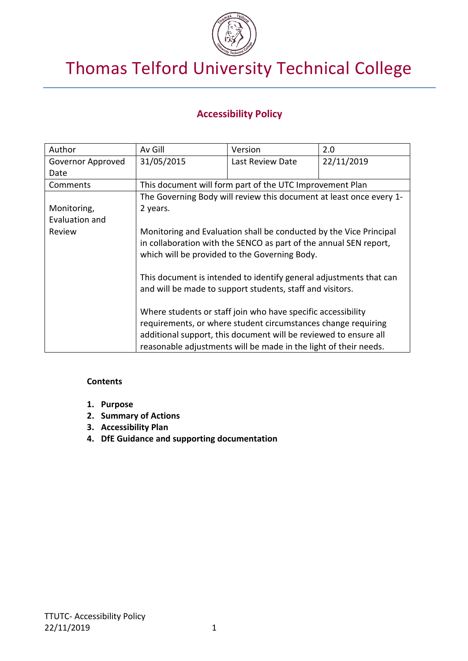

# Thomas Telford University Technical College

## **Accessibility Policy**

| Author            | Av Gill                                                                                                                                                                                                                                                        | Version          | 2.0        |
|-------------------|----------------------------------------------------------------------------------------------------------------------------------------------------------------------------------------------------------------------------------------------------------------|------------------|------------|
| Governor Approved | 31/05/2015                                                                                                                                                                                                                                                     | Last Review Date | 22/11/2019 |
| Date              |                                                                                                                                                                                                                                                                |                  |            |
| Comments          | This document will form part of the UTC Improvement Plan                                                                                                                                                                                                       |                  |            |
|                   | The Governing Body will review this document at least once every 1-                                                                                                                                                                                            |                  |            |
| Monitoring,       | 2 years.                                                                                                                                                                                                                                                       |                  |            |
| Evaluation and    |                                                                                                                                                                                                                                                                |                  |            |
| Review            | Monitoring and Evaluation shall be conducted by the Vice Principal<br>in collaboration with the SENCO as part of the annual SEN report,<br>which will be provided to the Governing Body.<br>This document is intended to identify general adjustments that can |                  |            |
|                   | and will be made to support students, staff and visitors.<br>Where students or staff join who have specific accessibility                                                                                                                                      |                  |            |
|                   | requirements, or where student circumstances change requiring                                                                                                                                                                                                  |                  |            |
|                   | additional support, this document will be reviewed to ensure all                                                                                                                                                                                               |                  |            |
|                   | reasonable adjustments will be made in the light of their needs.                                                                                                                                                                                               |                  |            |

#### **Contents**

- **1. Purpose**
- **2. Summary of Actions**
- **3. Accessibility Plan**
- **4. DfE Guidance and supporting documentation**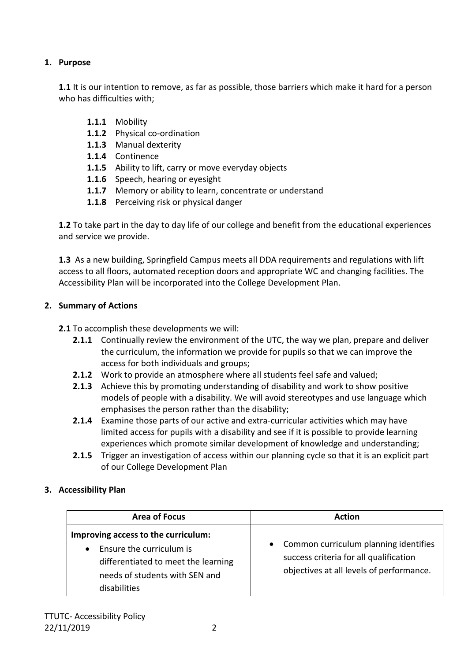### **1. Purpose**

**1.1** It is our intention to remove, as far as possible, those barriers which make it hard for a person who has difficulties with;

- **1.1.1** Mobility
- **1.1.2** Physical co-ordination
- **1.1.3** Manual dexterity
- **1.1.4** Continence
- **1.1.5** Ability to lift, carry or move everyday objects
- **1.1.6** Speech, hearing or eyesight
- **1.1.7** Memory or ability to learn, concentrate or understand
- **1.1.8** Perceiving risk or physical danger

**1.2** To take part in the day to day life of our college and benefit from the educational experiences and service we provide.

**1.3** As a new building, Springfield Campus meets all DDA requirements and regulations with lift access to all floors, automated reception doors and appropriate WC and changing facilities. The Accessibility Plan will be incorporated into the College Development Plan.

### **2. Summary of Actions**

**2.1** To accomplish these developments we will:

- **2.1.1** Continually review the environment of the UTC, the way we plan, prepare and deliver the curriculum, the information we provide for pupils so that we can improve the access for both individuals and groups;
- **2.1.2** Work to provide an atmosphere where all students feel safe and valued;
- **2.1.3** Achieve this by promoting understanding of disability and work to show positive models of people with a disability. We will avoid stereotypes and use language which emphasises the person rather than the disability;
- **2.1.4** Examine those parts of our active and extra-curricular activities which may have limited access for pupils with a disability and see if it is possible to provide learning experiences which promote similar development of knowledge and understanding;
- **2.1.5** Trigger an investigation of access within our planning cycle so that it is an explicit part of our College Development Plan

### **3. Accessibility Plan**

| <b>Area of Focus</b>                                                                                                                                                  | Action                                                                                                                        |  |
|-----------------------------------------------------------------------------------------------------------------------------------------------------------------------|-------------------------------------------------------------------------------------------------------------------------------|--|
| Improving access to the curriculum:<br>Ensure the curriculum is<br>$\bullet$<br>differentiated to meet the learning<br>needs of students with SEN and<br>disabilities | • Common curriculum planning identifies<br>success criteria for all qualification<br>objectives at all levels of performance. |  |